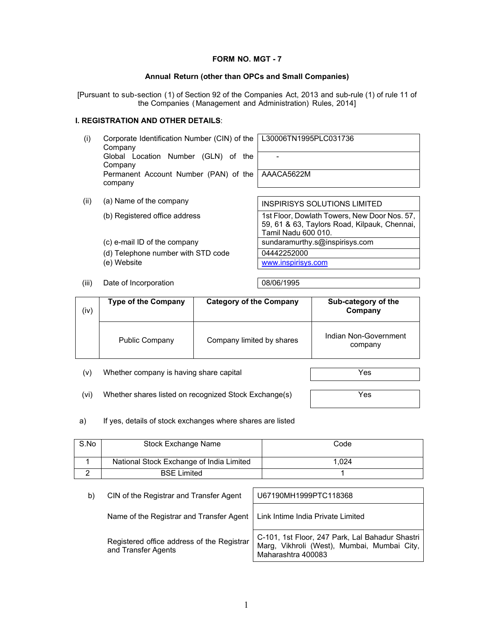#### **FORM NO. MGT - 7**

#### **Annual Return (other than OPCs and Small Companies)**

[Pursuant to sub-section (1) of Section 92 of the Companies Act, 2013 and sub-rule (1) of rule 11 of the Companies (Management and Administration) Rules, 2014]

### **I. REGISTRATION AND OTHER DETAILS**:

| (i)  | Corporate Identification Number (CIN) of the   L30006TN1995PLC031736<br>Company |                                     |
|------|---------------------------------------------------------------------------------|-------------------------------------|
|      | Global Location Number (GLN) of the<br>Company                                  |                                     |
|      | Permanent Account Number (PAN) of the   AAACA5622M<br>company                   |                                     |
|      |                                                                                 |                                     |
| (ii) | (a) Name of the company                                                         | <b>INSPIRISYS SOLUTIONS LIMITED</b> |

(b) Registered office address 1st Floor, Dowlath Towers, New Door Nos. 57, 59, 61 & 63, Taylors Road, Kilpauk, Chennai, Tamil Nadu 600 010. (c) e-mail ID of the company sundaramurthy.s@inspirisys.com (d) Telephone number with STD code 04442252000

(e) Website www.inspirisys.com

(iii) Date of Incorporation 08/06/1995

| (iv) | <b>Type of the Company</b> | <b>Category of the Company</b> | Sub-category of the<br>Company   |
|------|----------------------------|--------------------------------|----------------------------------|
|      | <b>Public Company</b>      | Company limited by shares      | Indian Non-Government<br>company |

(v) Whether company is having share capital Texas and Texas Yes

- (vi) Whether shares listed on recognized Stock Exchange(s)  $\sqrt{Y}$
- a) If yes, details of stock exchanges where shares are listed

| S.No | Stock Exchange Name                      | Code  |
|------|------------------------------------------|-------|
|      | National Stock Exchange of India Limited | 1.024 |
|      | <b>BSE Limited</b>                       |       |

| b) | CIN of the Registrar and Transfer Agent                                      | U67190MH1999PTC118368                                                                                                |
|----|------------------------------------------------------------------------------|----------------------------------------------------------------------------------------------------------------------|
|    | Name of the Registrar and Transfer Agent   Link Intime India Private Limited |                                                                                                                      |
|    | Registered office address of the Registrar<br>and Transfer Agents            | C-101, 1st Floor, 247 Park, Lal Bahadur Shastri<br>Marg, Vikhroli (West), Mumbai, Mumbai City,<br>Maharashtra 400083 |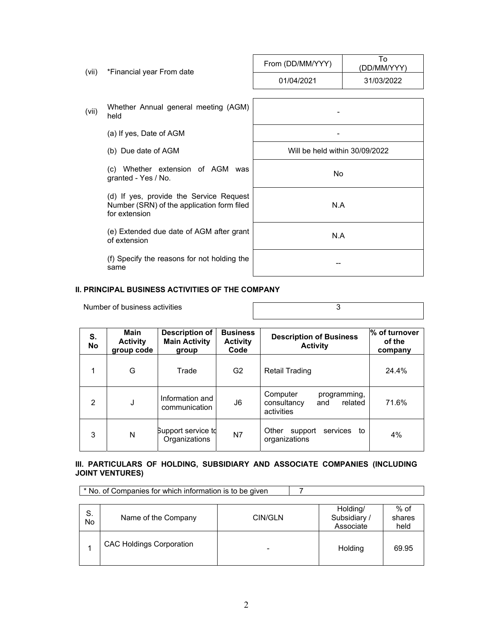| (vii) | *Financial year From date                                                                              | From (DD/MM/YYY)               | Т٥<br>(DD/MM/YYY) |
|-------|--------------------------------------------------------------------------------------------------------|--------------------------------|-------------------|
|       |                                                                                                        | 01/04/2021                     | 31/03/2022        |
|       |                                                                                                        |                                |                   |
| (vii) | Whether Annual general meeting (AGM)<br>held                                                           |                                |                   |
|       | (a) If yes, Date of AGM                                                                                |                                |                   |
|       | (b) Due date of AGM                                                                                    | Will be held within 30/09/2022 |                   |
|       | (c) Whether extension of AGM<br>was<br>granted - Yes / No.                                             | No.                            |                   |
|       | (d) If yes, provide the Service Request<br>Number (SRN) of the application form filed<br>for extension | N.A                            |                   |
|       | (e) Extended due date of AGM after grant<br>of extension                                               | N.A                            |                   |
|       | (f) Specify the reasons for not holding the<br>same                                                    |                                |                   |

#### **II. PRINCIPAL BUSINESS ACTIVITIES OF THE COMPANY**

Number of business activities **3** 

| S.<br><b>No</b> | Main<br><b>Activity</b><br>group code | Description of<br><b>Main Activity</b><br>group | <b>Business</b><br><b>Activity</b><br>Code | <b>Description of Business</b><br><b>Activity</b>                       | % of turnover<br>of the<br>company |
|-----------------|---------------------------------------|-------------------------------------------------|--------------------------------------------|-------------------------------------------------------------------------|------------------------------------|
|                 | G                                     | Trade                                           | G2                                         | Retail Trading                                                          | 24.4%                              |
| $\mathfrak{p}$  | J                                     | Information and<br>communication                | J6                                         | Computer<br>programming,<br>related<br>consultancy<br>and<br>activities | 71.6%                              |
| 3               | N                                     | Support service to<br>Organizations             | N7                                         | Other<br>services to<br>support<br>organizations                        | 4%                                 |

#### **III. PARTICULARS OF HOLDING, SUBSIDIARY AND ASSOCIATE COMPANIES (INCLUDING JOINT VENTURES)**

\* No. of Companies for which information is to be given 7

| S.<br>No | Name of the Company             | CIN/GLN | Holding/<br>Subsidiary /<br>Associate | % of<br>shares<br>held |
|----------|---------------------------------|---------|---------------------------------------|------------------------|
|          | <b>CAC Holdings Corporation</b> | -       | Holding                               | 69.95                  |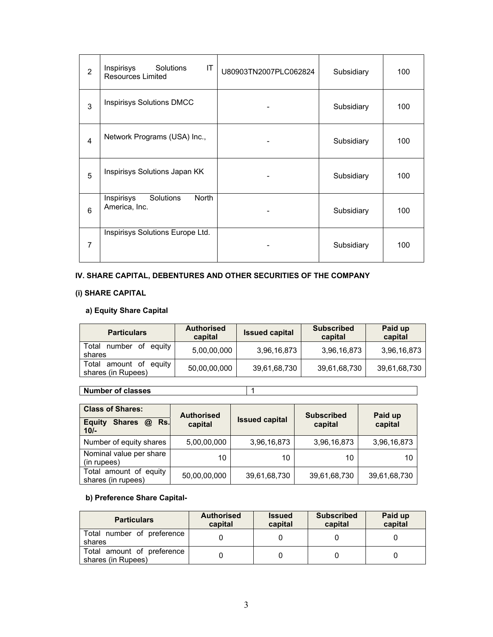| $\overline{2}$ | Inspirisys<br>Solutions<br>IT<br><b>Resources Limited</b> | U80903TN2007PLC062824 | Subsidiary | 100 |
|----------------|-----------------------------------------------------------|-----------------------|------------|-----|
| 3              | <b>Inspirisys Solutions DMCC</b>                          |                       | Subsidiary | 100 |
| $\overline{4}$ | Network Programs (USA) Inc.,                              |                       | Subsidiary | 100 |
| 5              | Inspirisys Solutions Japan KK                             |                       | Subsidiary | 100 |
| 6              | Inspirisys<br>Solutions<br><b>North</b><br>America, Inc.  |                       | Subsidiary | 100 |
| $\overline{7}$ | Inspirisys Solutions Europe Ltd.                          |                       | Subsidiary | 100 |

## **IV. SHARE CAPITAL, DEBENTURES AND OTHER SECURITIES OF THE COMPANY**

## **(i) SHARE CAPITAL**

## **a) Equity Share Capital**

| <b>Particulars</b>                           | <b>Authorised</b><br>capital | <b>Issued capital</b> | <b>Subscribed</b><br>capital | Paid up<br>capital |
|----------------------------------------------|------------------------------|-----------------------|------------------------------|--------------------|
| Total number<br>of equity<br>shares          | 5,00,00,000                  | 3,96,16,873           | 3,96,16,873                  | 3,96,16,873        |
| Total amount of equity<br>shares (in Rupees) | 50,00,00,000                 | 39,61,68,730          | 39,61,68,730                 | 39,61,68,730       |

## **Number of classes** 1

| <b>Class of Shares:</b><br><b>Shares</b><br>Rs.<br><b>Equity</b><br>$\omega$<br>$10/-$ | <b>Authorised</b><br>capital | <b>Issued capital</b> | <b>Subscribed</b><br>capital | Paid up<br>capital |
|----------------------------------------------------------------------------------------|------------------------------|-----------------------|------------------------------|--------------------|
| Number of equity shares                                                                | 5,00,00,000                  | 3,96,16,873           | 3,96,16,873                  | 3,96,16,873        |
| Nominal value per share<br>(in rupees)                                                 | 10                           | 10                    | 10                           | 10                 |
| Total amount of equity<br>shares (in rupees)                                           | 50,00,00,000                 | 39,61,68,730          | 39,61,68,730                 | 39,61,68,730       |

### **b) Preference Share Capital-**

| <b>Particulars</b>                               | <b>Authorised</b><br>capital | <b>Issued</b><br>capital | <b>Subscribed</b><br>capital | Paid up<br>capital |
|--------------------------------------------------|------------------------------|--------------------------|------------------------------|--------------------|
| Total number of preference<br>shares             |                              |                          |                              |                    |
| Total amount of preference<br>shares (in Rupees) |                              |                          |                              |                    |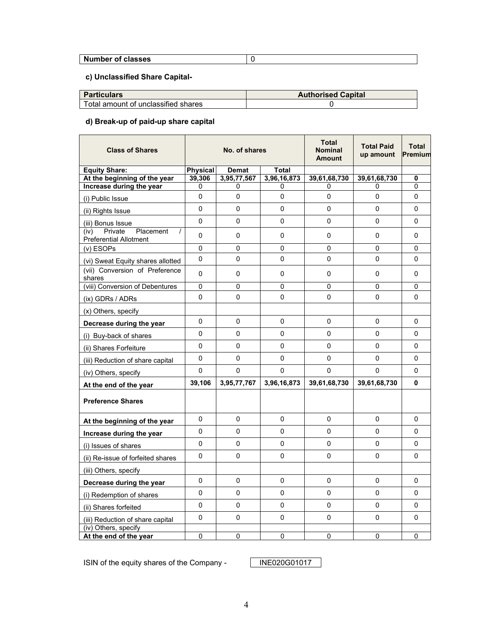# **Number of classes** 0

## **c) Unclassified Share Capital-**

| <b>Particulars</b>                    | <b>Authorised Capital</b> |
|---------------------------------------|---------------------------|
| l Total amount of unclassified shares |                           |

## **d) Break-up of paid-up share capital**

| <b>Class of Shares</b>                                        | No. of shares |              | <b>Total</b><br><b>Nominal</b><br><b>Amount</b> | <b>Total Paid</b><br>up amount | <b>Total</b><br>Premium |                |
|---------------------------------------------------------------|---------------|--------------|-------------------------------------------------|--------------------------------|-------------------------|----------------|
| <b>Equity Share:</b>                                          | Physical      | <b>Demat</b> | Total                                           |                                |                         |                |
| At the beginning of the year                                  | 39,306        | 3,95,77,567  | 3,96,16,873                                     | 39,61,68,730                   | 39,61,68,730            | $\bf{0}$       |
| Increase during the year                                      | 0             | 0            | 0                                               | 0                              | 0                       | $\Omega$       |
| (i) Public Issue                                              | 0             | $\Omega$     | 0                                               | 0                              | $\Omega$                | 0              |
| (ii) Rights Issue                                             | $\Omega$      | $\Omega$     | $\Omega$                                        | 0                              | $\Omega$                | $\Omega$       |
| (iii) Bonus Issue                                             | $\Omega$      | $\Omega$     | 0                                               | 0                              | $\Omega$                | 0              |
| Private<br>Placement<br>(iv)<br><b>Preferential Allotment</b> | 0             | 0            | 0                                               | 0                              | 0                       | 0              |
| (v) ESOPs                                                     | $\mathbf 0$   | $\mathbf{0}$ | 0                                               | $\overline{0}$                 | $\mathbf{0}$            | 0              |
| (vi) Sweat Equity shares allotted                             | $\Omega$      | $\mathbf{0}$ | 0                                               | $\overline{0}$                 | $\mathbf 0$             | 0              |
| (vii) Conversion of Preference<br>shares                      | $\Omega$      | $\Omega$     | 0                                               | 0                              | $\Omega$                | $\Omega$       |
| (viii) Conversion of Debentures                               | 0             | $\Omega$     | 0                                               | 0                              | $\Omega$                | 0              |
| (ix) GDRs / ADRs                                              | $\mathbf 0$   | $\Omega$     | 0                                               | $\overline{0}$                 | $\mathbf 0$             | $\overline{0}$ |
| (x) Others, specify                                           |               |              |                                                 |                                |                         |                |
| Decrease during the year                                      | 0             | $\Omega$     | 0                                               | 0                              | 0                       | $\mathbf 0$    |
| (i) Buy-back of shares                                        | $\Omega$      | $\Omega$     | 0                                               | 0                              | $\Omega$                | 0              |
| (ii) Shares Forfeiture                                        | $\Omega$      | $\Omega$     | 0                                               | 0                              | $\Omega$                | $\Omega$       |
| (iii) Reduction of share capital                              | 0             | 0            | 0                                               | 0                              | 0                       | 0              |
| (iv) Others, specify                                          | 0             | 0            | 0                                               | 0                              | $\Omega$                | 0              |
| At the end of the year                                        | 39,106        | 3,95,77,767  | 3,96,16,873                                     | 39,61,68,730                   | 39,61,68,730            | 0              |
| <b>Preference Shares</b>                                      |               |              |                                                 |                                |                         |                |
| At the beginning of the year                                  | 0             | $\mathbf 0$  | 0                                               | 0                              | 0                       | $\mathbf 0$    |
| Increase during the year                                      | $\Omega$      | $\mathbf{0}$ | 0                                               | $\overline{0}$                 | $\mathbf 0$             | 0              |
| (i) Issues of shares                                          | $\Omega$      | $\Omega$     | $\Omega$                                        | 0                              | $\mathbf 0$             | $\Omega$       |
| (ii) Re-issue of forfeited shares                             | $\Omega$      | $\Omega$     | 0                                               | 0                              | 0                       | 0              |
| (iii) Others, specify                                         |               |              |                                                 |                                |                         |                |
| Decrease during the year                                      | 0             | $\mathbf 0$  | 0                                               | 0                              | 0                       | $\mathbf 0$    |
| (i) Redemption of shares                                      | 0             | $\mathbf 0$  | 0                                               | 0                              | 0                       | 0              |
| (ii) Shares forfeited                                         | $\mathbf 0$   | 0            | 0                                               | 0                              | 0                       | $\mathbf 0$    |
| (iii) Reduction of share capital                              | 0             | 0            | 0                                               | 0                              | 0                       | 0              |
| (iv) Others, specify<br>At the end of the year                | $\Omega$      | $\Omega$     | 0                                               | 0                              | $\Omega$                | $\Omega$       |

ISIN of the equity shares of the Company - INE020G01017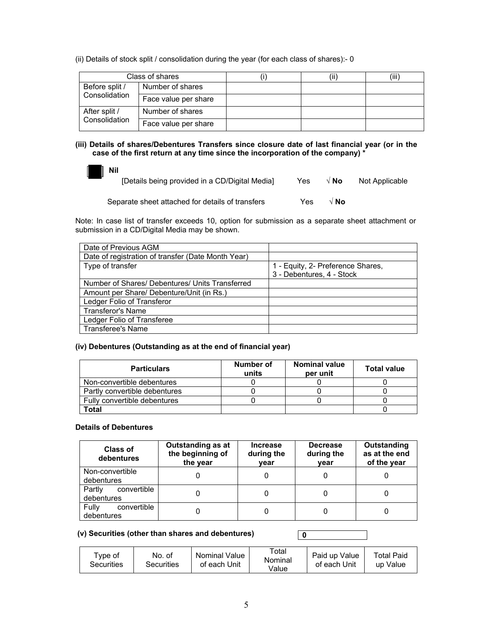(ii) Details of stock split / consolidation during the year (for each class of shares):- 0

|                                 | Class of shares      |  | (iii) |
|---------------------------------|----------------------|--|-------|
| Before split /<br>Consolidation | Number of shares     |  |       |
|                                 | Face value per share |  |       |
| After split /<br>Consolidation  | Number of shares     |  |       |
|                                 | Face value per share |  |       |

**(iii) Details of shares/Debentures Transfers since closure date of last financial year (or in the case of the first return at any time since the incorporation of the company) \*** 

 **Nil** 

| [Details being provided in a CD/Digital Media] | Yes | √ No | Not Applicable |
|------------------------------------------------|-----|------|----------------|
|------------------------------------------------|-----|------|----------------|

Separate sheet attached for details of transfers Yes **√ No**

Note: In case list of transfer exceeds 10, option for submission as a separate sheet attachment or submission in a CD/Digital Media may be shown.

| Date of Previous AGM                               |                                   |
|----------------------------------------------------|-----------------------------------|
| Date of registration of transfer (Date Month Year) |                                   |
| Type of transfer                                   | 1 - Equity, 2- Preference Shares, |
|                                                    | 3 - Debentures, 4 - Stock         |
| Number of Shares/ Debentures/ Units Transferred    |                                   |
| Amount per Share/ Debenture/Unit (in Rs.)          |                                   |
| Ledger Folio of Transferor                         |                                   |
| <b>Transferor's Name</b>                           |                                   |
| Ledger Folio of Transferee                         |                                   |
| <b>Transferee's Name</b>                           |                                   |

#### **(iv) Debentures (Outstanding as at the end of financial year)**

| <b>Particulars</b>            | Number of<br>units | <b>Nominal value</b><br>per unit | <b>Total value</b> |
|-------------------------------|--------------------|----------------------------------|--------------------|
| Non-convertible debentures    |                    |                                  |                    |
| Partly convertible debentures |                    |                                  |                    |
| Fully convertible debentures  |                    |                                  |                    |
| Total                         |                    |                                  |                    |

#### **Details of Debentures**

| <b>Class of</b><br>debentures       | Outstanding as at<br>the beginning of<br>the year | <b>Increase</b><br>during the<br>vear | <b>Decrease</b><br>during the<br>vear | Outstanding<br>as at the end<br>of the year |
|-------------------------------------|---------------------------------------------------|---------------------------------------|---------------------------------------|---------------------------------------------|
| Non-convertible<br>debentures       |                                                   |                                       |                                       |                                             |
| Partly<br>convertible<br>debentures |                                                   |                                       |                                       |                                             |
| Fully<br>convertible<br>debentures  |                                                   |                                       |                                       |                                             |

#### **(v) Securities (other than shares and debentures)**

| ™vpe of<br>Securities | No. of<br>Securities | Nominal Value<br>of each Unit | Total<br>Nominal<br>Value | Paid up Value<br>of each Unit | Total Paid<br>up Value |
|-----------------------|----------------------|-------------------------------|---------------------------|-------------------------------|------------------------|
|-----------------------|----------------------|-------------------------------|---------------------------|-------------------------------|------------------------|

**0**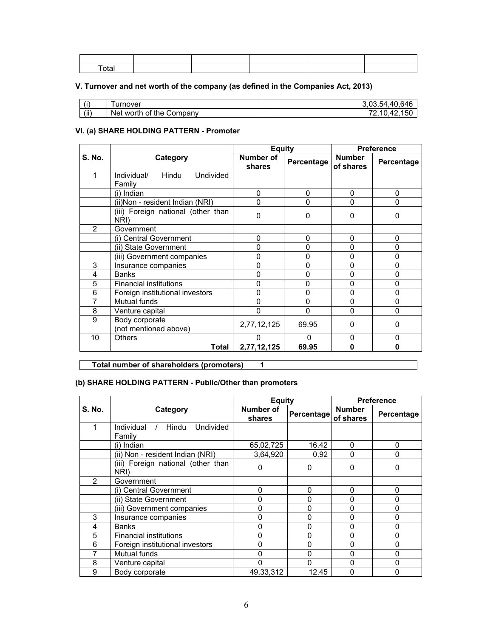| otal. |  |  |  |
|-------|--|--|--|
|       |  |  |  |

## **V. Turnover and net worth of the company (as defined in the Companies Act, 2013)**

| (i)  | urnover                               | 40<br>64F<br>54<br>    |
|------|---------------------------------------|------------------------|
| (ii) | ੀ the ਼<br>Company<br>0t<br>Net worth | л.<br>5C<br>. .<br>. . |

## **VI. (a) SHARE HOLDING PATTERN - Promoter**

|                |                                             | <b>Equity</b>              |             |                            | <b>Preference</b> |
|----------------|---------------------------------------------|----------------------------|-------------|----------------------------|-------------------|
| <b>S. No.</b>  | Category                                    | <b>Number of</b><br>shares | Percentage  | <b>Number</b><br>of shares | Percentage        |
| 1              | Undivided<br>Individual/<br>Hindu<br>Family |                            |             |                            |                   |
|                | (i) Indian                                  | 0                          | 0           | 0                          | 0                 |
|                | (ii) Non - resident Indian (NRI)            | 0                          | $\Omega$    | 0                          | 0                 |
|                | (iii) Foreign national (other than<br>NRI)  | 0                          | 0           | 0                          | 0                 |
| $\mathfrak{p}$ | Government                                  |                            |             |                            |                   |
|                | (i) Central Government                      | 0                          | 0           | 0                          | 0                 |
|                | (ii) State Government                       | 0                          | $\Omega$    | 0                          | 0                 |
|                | (iii) Government companies                  | 0                          | 0           | $\mathbf 0$                | 0                 |
| 3              | Insurance companies                         | ი                          | $\mathbf 0$ | 0                          | 0                 |
| 4              | <b>Banks</b>                                | ი                          | 0           | 0                          | 0                 |
| 5              | <b>Financial institutions</b>               | ი                          | 0           | 0                          | 0                 |
| 6              | Foreign institutional investors             | 0                          | $\Omega$    | $\Omega$                   | 0                 |
| 7              | Mutual funds                                | 0                          | 0           | 0                          | 0                 |
| 8              | Venture capital                             | n                          | $\Omega$    | 0                          | 0                 |
| 9              | Body corporate<br>(not mentioned above)     | 2,77,12,125                | 69.95       | $\Omega$                   | 0                 |
| 10             | <b>Others</b>                               |                            | n           | $\Omega$                   | 0                 |
|                | Total                                       | 2,77,12,125                | 69.95       | $\bf{0}$                   | 0                 |

**Total number of shareholders (promoters) 1** 

### **(b) SHARE HOLDING PATTERN - Public/Other than promoters**

|                |                                                   |                     | <b>Equity</b> |                            | <b>Preference</b> |  |
|----------------|---------------------------------------------------|---------------------|---------------|----------------------------|-------------------|--|
| <b>S. No.</b>  | Category                                          | Number of<br>shares | Percentage    | <b>Number</b><br>of shares | Percentage        |  |
| 1              | Individual<br><b>Undivided</b><br>Hindu<br>Familv |                     |               |                            |                   |  |
|                | (i) Indian                                        | 65,02,725           | 16.42         | $\Omega$                   | 0                 |  |
|                | (ii) Non - resident Indian (NRI)                  | 3,64,920            | 0.92          | $\Omega$                   | 0                 |  |
|                | (iii) Foreign national (other than<br>NRI)        | 0                   | 0             | 0                          | 0                 |  |
| $\mathfrak{p}$ | Government                                        |                     |               |                            |                   |  |
|                | (i) Central Government                            | 0                   | 0             | $\Omega$                   | 0                 |  |
|                | (ii) State Government                             | ი                   | 0             | U                          |                   |  |
|                | (iii) Government companies                        | 0                   | 0             | 0                          | 0                 |  |
| 3              | Insurance companies                               | 0                   | 0             | $\Omega$                   | 0                 |  |
| 4              | <b>Banks</b>                                      | 0                   | 0             | 0                          | 0                 |  |
| 5              | <b>Financial institutions</b>                     |                     | 0             | 0                          | 0                 |  |
| 6              | Foreign institutional investors                   | 0                   | 0             | 0                          | 0                 |  |
|                | Mutual funds                                      | ი                   | 0             |                            | 0                 |  |
| 8              | Venture capital                                   | 0                   | 0             | ი                          | 0                 |  |
| 9              | Body corporate                                    | 49.33.312           | 12.45         | 0                          |                   |  |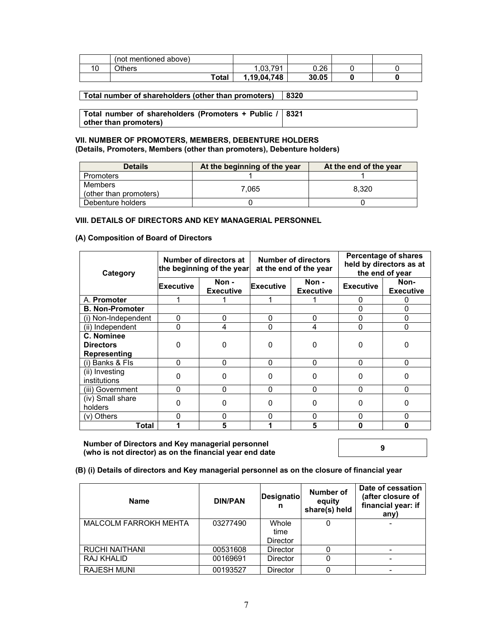|    | (not mentioned above) |             |       |  |
|----|-----------------------|-------------|-------|--|
| 10 | <b>Others</b>         | ,03,791     | 0.26  |  |
|    | Total                 | 1.19.04.748 | 30.05 |  |

**Total number of shareholders (other than promoters) 8320** 

**Total number of shareholders (Promoters + Public / other than promoters) 8321** 

#### **VII. NUMBER OF PROMOTERS, MEMBERS, DEBENTURE HOLDERS (Details, Promoters, Members (other than promoters), Debenture holders)**

| <b>Details</b>                    | At the beginning of the year | At the end of the year |
|-----------------------------------|------------------------------|------------------------|
| Promoters                         |                              |                        |
| Members<br>(other than promoters) | 7.065                        | 8.320                  |
| Debenture holders                 |                              |                        |

#### **VIII. DETAILS OF DIRECTORS AND KEY MANAGERIAL PERSONNEL**

#### **(A) Composition of Board of Directors**

| Category                                       | Number of directors at<br>the beginning of the year |                           |                  | <b>Number of directors</b><br>at the end of the year | <b>Percentage of shares</b><br>held by directors as at<br>the end of year |                          |
|------------------------------------------------|-----------------------------------------------------|---------------------------|------------------|------------------------------------------------------|---------------------------------------------------------------------------|--------------------------|
|                                                | <b>Executive</b>                                    | Non -<br><b>Executive</b> | <b>Executive</b> | Non -<br><b>Executive</b>                            | <b>Executive</b>                                                          | Non-<br><b>Executive</b> |
| A. Promoter                                    |                                                     |                           |                  |                                                      | 0                                                                         | 0                        |
| <b>B. Non-Promoter</b>                         |                                                     |                           |                  |                                                      | 0                                                                         | 0                        |
| (i) Non-Independent                            | 0                                                   | 0                         | 0                | 0                                                    | $\Omega$                                                                  | 0                        |
| (ii) Independent                               | 0                                                   | 4                         | 0                | 4                                                    | 0                                                                         | 0                        |
| C. Nominee<br><b>Directors</b><br>Representing | ŋ                                                   | 0                         | $\Omega$         | 0                                                    | O                                                                         |                          |
| (i) Banks & Fls                                | $\Omega$                                            | $\Omega$                  | 0                | 0                                                    | $\Omega$                                                                  | 0                        |
| (ii) Investing<br>institutions                 | 0                                                   | 0                         | $\Omega$         | 0                                                    | <sup>0</sup>                                                              | ი                        |
| (iii) Government                               | 0                                                   | 0                         | 0                | 0                                                    | 0                                                                         | 0                        |
| (iv) Small share<br>holders                    | 0                                                   | 0                         | $\Omega$         | 0                                                    | 0                                                                         | ი                        |
| (v) Others                                     | n                                                   | O                         | 0                | 0                                                    | $\Omega$                                                                  | ი                        |
| Total                                          |                                                     | 5                         |                  | 5                                                    | n                                                                         | Λ                        |

**Number of Directors and Key managerial personnel (who is not director) as on the financial year end date <sup>9</sup>**

**(B) (i) Details of directors and Key managerial personnel as on the closure of financial year** 

| <b>Name</b>                  | <b>DIN/PAN</b> | <b>Designatio</b><br>n | Number of<br>equity<br>share(s) held | Date of cessation<br>(after closure of<br>financial year: if<br>any) |
|------------------------------|----------------|------------------------|--------------------------------------|----------------------------------------------------------------------|
| <b>MALCOLM FARROKH MEHTA</b> | 03277490       | Whole                  |                                      |                                                                      |
|                              |                | time                   |                                      |                                                                      |
|                              |                | <b>Director</b>        |                                      |                                                                      |
| RUCHI NAITHANI               | 00531608       | Director               |                                      |                                                                      |
| <b>RAJ KHALID</b>            | 00169691       | <b>Director</b>        |                                      |                                                                      |
| <b>RAJESH MUNI</b>           | 00193527       | <b>Director</b>        |                                      |                                                                      |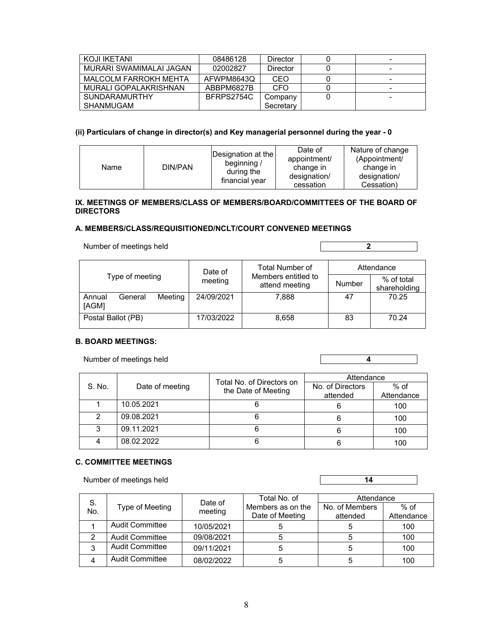| KOJI IKETANI            | 08486128   | Director  | - |
|-------------------------|------------|-----------|---|
| MURARI SWAMIMALAI JAGAN | 02002827   | Director  | - |
| MALCOLM FARROKH MEHTA   | AFWPM8643Q | CEO       | - |
| MURALI GOPALAKRISHNAN   | ABBPM6827B | CFO       | ۰ |
| <b>SUNDARAMURTHY</b>    | BFRPS2754C | Company   | - |
| <b>SHANMUGAM</b>        |            | Secretary |   |

### **(ii) Particulars of change in director(s) and Key managerial personnel during the year - 0**

| Name | DIN/PAN | Designation at the<br>beginning /<br>during the<br>financial year | Date of<br>appointment/<br>change in<br>designation/<br>cessation | Nature of change<br>(Appointment/<br>change in<br>designation/<br>Cessation) |
|------|---------|-------------------------------------------------------------------|-------------------------------------------------------------------|------------------------------------------------------------------------------|

#### **IX. MEETINGS OF MEMBERS/CLASS OF MEMBERS/BOARD/COMMITTEES OF THE BOARD OF DIRECTORS**

#### **A. MEMBERS/CLASS/REQUISITIONED/NCLT/COURT CONVENED MEETINGS**

Number of meetings held **2 2** 

|                                       | Date of    | Total Number of                                        | Attendance |                            |  |
|---------------------------------------|------------|--------------------------------------------------------|------------|----------------------------|--|
| Type of meeting                       | meeting    | Members entitled to<br><b>Number</b><br>attend meeting |            | % of total<br>shareholding |  |
| Meeting<br>General<br>Annual<br>[AGM] | 24/09/2021 | 7.888                                                  | 47         | 70.25                      |  |
| Postal Ballot (PB)                    | 17/03/2022 | 8.658                                                  | 83         | 70.24                      |  |

## **B. BOARD MEETINGS:**

| S. No. | Date of meeting | Total No. of Directors on |                  | Attendance |  |  |
|--------|-----------------|---------------------------|------------------|------------|--|--|
|        |                 | the Date of Meeting       | No. of Directors | % of       |  |  |
|        |                 |                           | attended         | Attendance |  |  |
|        | 10.05.2021      |                           |                  | 100        |  |  |
|        | 09.08.2021      |                           |                  | 100        |  |  |
| 3      | 09.11.2021      |                           |                  | 100        |  |  |
|        | 08.02.2022      |                           |                  | 100        |  |  |

Number of meetings held **4 4** 

## **C. COMMITTEE MEETINGS**

Number of meetings held **14 14** 

|           |                        |                    | Total No. of                         | Attendance                 |                      |  |
|-----------|------------------------|--------------------|--------------------------------------|----------------------------|----------------------|--|
| S.<br>No. | Type of Meeting        | Date of<br>meeting | Members as on the<br>Date of Meeting | No. of Members<br>attended | $%$ of<br>Attendance |  |
|           | <b>Audit Committee</b> | 10/05/2021         |                                      |                            | 100                  |  |
|           | <b>Audit Committee</b> | 09/08/2021         |                                      |                            | 100                  |  |
|           | <b>Audit Committee</b> | 09/11/2021         | 5                                    |                            | 100                  |  |
| 4         | <b>Audit Committee</b> | 08/02/2022         | э                                    |                            | 100                  |  |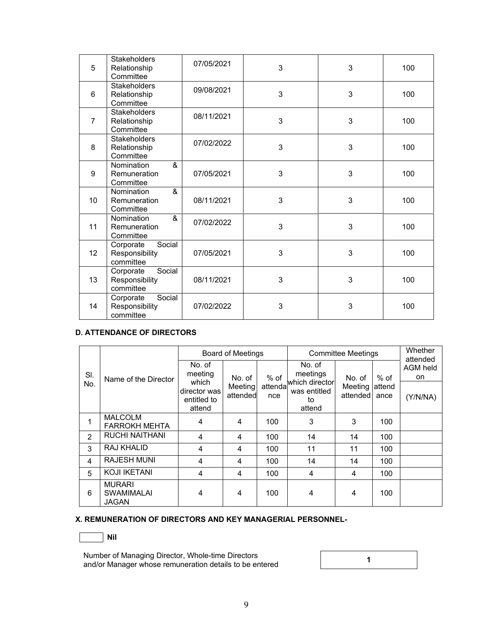| 5               | <b>Stakeholders</b><br>Relationship<br>Committee   | 07/05/2021 | 3 | 3 | 100 |
|-----------------|----------------------------------------------------|------------|---|---|-----|
| 6               | <b>Stakeholders</b><br>Relationship<br>Committee   | 09/08/2021 | 3 | 3 | 100 |
| $\overline{7}$  | <b>Stakeholders</b><br>Relationship<br>Committee   | 08/11/2021 | 3 | 3 | 100 |
| 8               | <b>Stakeholders</b><br>Relationship<br>Committee   | 07/02/2022 | 3 | 3 | 100 |
| 9               | &<br>Nomination<br>Remuneration<br>Committee       | 07/05/2021 | 3 | 3 | 100 |
| 10              | &<br>Nomination<br>Remuneration<br>Committee       | 08/11/2021 | 3 | 3 | 100 |
| 11              | &<br>Nomination<br>Remuneration<br>Committee       | 07/02/2022 | 3 | 3 | 100 |
| 12 <sup>2</sup> | Corporate<br>Social<br>Responsibility<br>committee | 07/05/2021 | 3 | 3 | 100 |
| 13              | Social<br>Corporate<br>Responsibility<br>committee | 08/11/2021 | 3 | 3 | 100 |
| 14              | Corporate<br>Social<br>Responsibility<br>committee | 07/02/2022 | 3 | 3 | 100 |

## **D. ATTENDANCE OF DIRECTORS**

|               |                                                    |                                                | <b>Board of Meetings</b> |                 |                                                | <b>Committee Meetings</b> |                 |                                   |  |
|---------------|----------------------------------------------------|------------------------------------------------|--------------------------|-----------------|------------------------------------------------|---------------------------|-----------------|-----------------------------------|--|
| SI.           | Name of the Director                               | No. of<br>meeting                              | No. of                   | % of            | No. of<br>meetings                             | No. of                    | $%$ of          | attended<br><b>AGM held</b><br>on |  |
| No.           |                                                    | which<br>director was<br>entitled to<br>attend | Meeting<br>attended      | attendal<br>nce | which director<br>was entitled<br>to<br>attend | Meeting<br>attended       | lattend<br>ance | (Y/N/NA)                          |  |
| 1             | <b>MALCOLM</b><br><b>FARROKH MEHTA</b>             | 4                                              | 4                        | 100             | 3                                              | 3                         | 100             |                                   |  |
| $\mathcal{P}$ | <b>RUCHI NAITHANI</b>                              | 4                                              | 4                        | 100             | 14                                             | 14                        | 100             |                                   |  |
| 3             | RAJ KHALID                                         | 4                                              | 4                        | 100             | 11                                             | 11                        | 100             |                                   |  |
| 4             | <b>RAJESH MUNI</b>                                 | 4                                              | 4                        | 100             | 14                                             | 14                        | 100             |                                   |  |
| 5             | <b>KOJI IKETANI</b>                                | 4                                              | 4                        | 100             | 4                                              | 4                         | 100             |                                   |  |
| 6             | <b>MURARI</b><br><b>SWAMIMALAI</b><br><b>JAGAN</b> | 4                                              | 4                        | 100             | 4                                              | 4                         | 100             |                                   |  |

## **X. REMUNERATION OF DIRECTORS AND KEY MANAGERIAL PERSONNEL-**

$$
\boxed{\qquad \qquad \text{Nil}}
$$

Number of Managing Director, Whole-time Directors and/or Manager whose remuneration details to be entered **<sup>1</sup>**

$$
\begin{array}{c}\n1 \\
\hline\n\end{array}
$$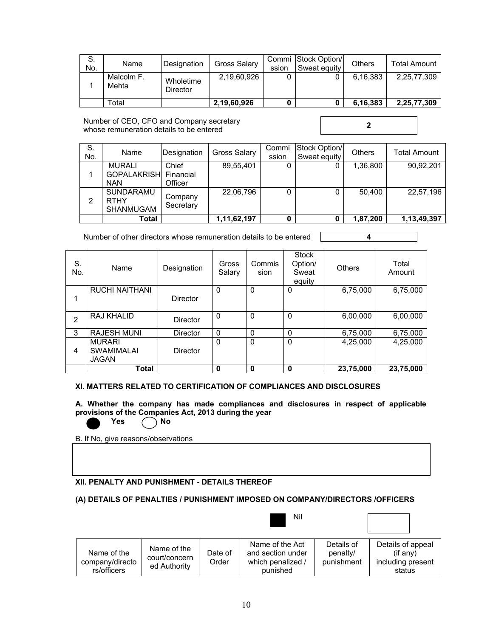| S.<br>No. | Name                | Designation           | Gross Salary | ssion | Commi Stock Option/<br>Sweat equity | <b>Others</b> | <b>Total Amount</b> |
|-----------|---------------------|-----------------------|--------------|-------|-------------------------------------|---------------|---------------------|
|           | Malcolm F.<br>Mehta | Wholetime<br>Director | 2,19,60,926  |       |                                     | 6.16.383      | 2,25,77,309         |
|           | ™otal               |                       | 2,19,60,926  |       |                                     | 6.16.383      | 2,25,77,309         |

Number of CEO, CFO and Company secretary whose remuneration details to be entered **2**<br>whose remuneration details to be entered

| S.<br>No. | Name                                                        | Designation          | <b>Gross Salary</b> | Commi<br>ssion | Stock Option/<br>Sweat equity | <b>Others</b> | Total Amount |
|-----------|-------------------------------------------------------------|----------------------|---------------------|----------------|-------------------------------|---------------|--------------|
|           | <b>MURALI</b><br><b>GOPALAKRISH Financial</b><br><b>NAN</b> | Chief<br>Officer     | 89,55,401           | 0              |                               | 1.36.800      | 90.92.201    |
| 2         | <b>SUNDARAMU</b><br><b>RTHY</b><br><b>SHANMUGAM</b>         | Company<br>Secretary | 22,06,796           |                |                               | 50.400        | 22,57,196    |
|           | Total                                                       |                      | 1,11,62,197         |                |                               | 1,87,200      | 1,13,49,397  |

Number of other directors whose remuneration details to be entered **4** 

| S.<br>No.      | Name                                               | Designation     | Gross<br>Salary | Commis<br>sion | <b>Stock</b><br>Option/<br>Sweat<br>equity | <b>Others</b> | Total<br>Amount |
|----------------|----------------------------------------------------|-----------------|-----------------|----------------|--------------------------------------------|---------------|-----------------|
|                | <b>RUCHI NAITHANI</b>                              | Director        | 0               | $\Omega$       | 0                                          | 6,75,000      | 6,75,000        |
| $\overline{2}$ | RAJ KHALID                                         | Director        | 0               | $\Omega$       | 0                                          | 6,00,000      | 6,00,000        |
| 3              | <b>RAJESH MUNI</b>                                 | Director        | 0               | $\Omega$       | 0                                          | 6,75,000      | 6,75,000        |
| 4              | <b>MURARI</b><br><b>SWAMIMALAI</b><br><b>JAGAN</b> | <b>Director</b> | 0               | $\Omega$       | 0                                          | 4,25,000      | 4,25,000        |
|                | Total                                              |                 | 0               | 0              | 0                                          | 23,75,000     | 23,75,000       |

#### **XI. MATTERS RELATED TO CERTIFICATION OF COMPLIANCES AND DISCLOSURES**

**A. Whether the company has made compliances and disclosures in respect of applicable provisions of the Companies Act, 2013 during the year**  Yes no

B. If No, give reasons/observations

#### **XII. PENALTY AND PUNISHMENT - DETAILS THEREOF**

## **(A) DETAILS OF PENALTIES / PUNISHMENT IMPOSED ON COMPANY/DIRECTORS /OFFICERS**

|                                               |                                              |                  | Nil                                                                   |                                      |                                                               |
|-----------------------------------------------|----------------------------------------------|------------------|-----------------------------------------------------------------------|--------------------------------------|---------------------------------------------------------------|
| Name of the<br>company/directo<br>rs/officers | Name of the<br>court/concern<br>ed Authority | Date of<br>Order | Name of the Act<br>and section under<br>which penalized /<br>punished | Details of<br>penalty/<br>punishment | Details of appeal<br>(i f any)<br>including present<br>status |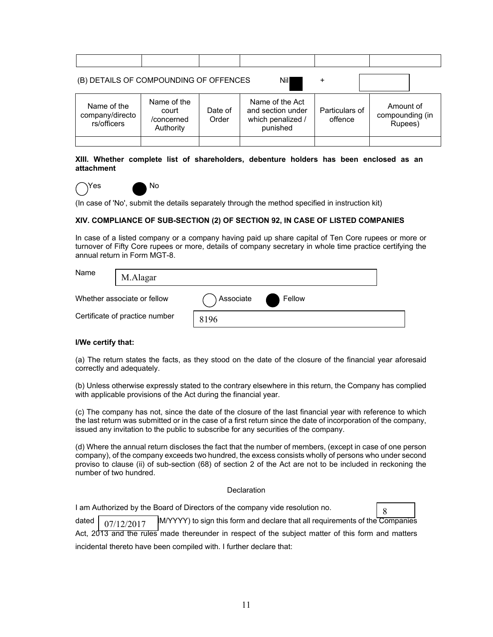| (B) DETAILS OF COMPOUNDING OF OFFENCES        |                                                 |                  | Nill                                                                  | +                         |                                         |
|-----------------------------------------------|-------------------------------------------------|------------------|-----------------------------------------------------------------------|---------------------------|-----------------------------------------|
| Name of the<br>company/directo<br>rs/officers | Name of the<br>court<br>/concerned<br>Authority | Date of<br>Order | Name of the Act<br>and section under<br>which penalized /<br>punished | Particulars of<br>offence | Amount of<br>compounding (in<br>Rupees) |
|                                               |                                                 |                  |                                                                       |                           |                                         |

**XIII. Whether complete list of shareholders, debenture holders has been enclosed as an attachment** 



Yes No

(In case of 'No', submit the details separately through the method specified in instruction kit)

### **XIV. COMPLIANCE OF SUB-SECTION (2) OF SECTION 92, IN CASE OF LISTED COMPANIES**

In case of a listed company or a company having paid up share capital of Ten Core rupees or more or turnover of Fifty Core rupees or more, details of company secretary in whole time practice certifying the annual return in Form MGT-8.

| Name                           | M.Alagar |           |        |  |
|--------------------------------|----------|-----------|--------|--|
| Whether associate or fellow    |          | Associate | Fellow |  |
| Certificate of practice number |          | 8196      |        |  |

#### **I/We certify that:**

(a) The return states the facts, as they stood on the date of the closure of the financial year aforesaid correctly and adequately.

(b) Unless otherwise expressly stated to the contrary elsewhere in this return, the Company has complied with applicable provisions of the Act during the financial year.

(c) The company has not, since the date of the closure of the last financial year with reference to which the last return was submitted or in the case of a first return since the date of incorporation of the company, issued any invitation to the public to subscribe for any securities of the company.

(d) Where the annual return discloses the fact that the number of members, (except in case of one person company), of the company exceeds two hundred, the excess consists wholly of persons who under second proviso to clause (ii) of sub-section (68) of section 2 of the Act are not to be included in reckoning the number of two hundred.

#### **Declaration**

I am Authorized by the Board of Directors of the company vide resolution no.



dated  $\int$   $\frac{D}{D}$   $\int$   $\frac{D}{D}$  M/YYYY) to sign this form and declare that all requirements of the Companies Act, 2013 and the rules made thereunder in respect of the subject matter of this form and matters incidental thereto have been compiled with. I further declare that: 07/12/2017